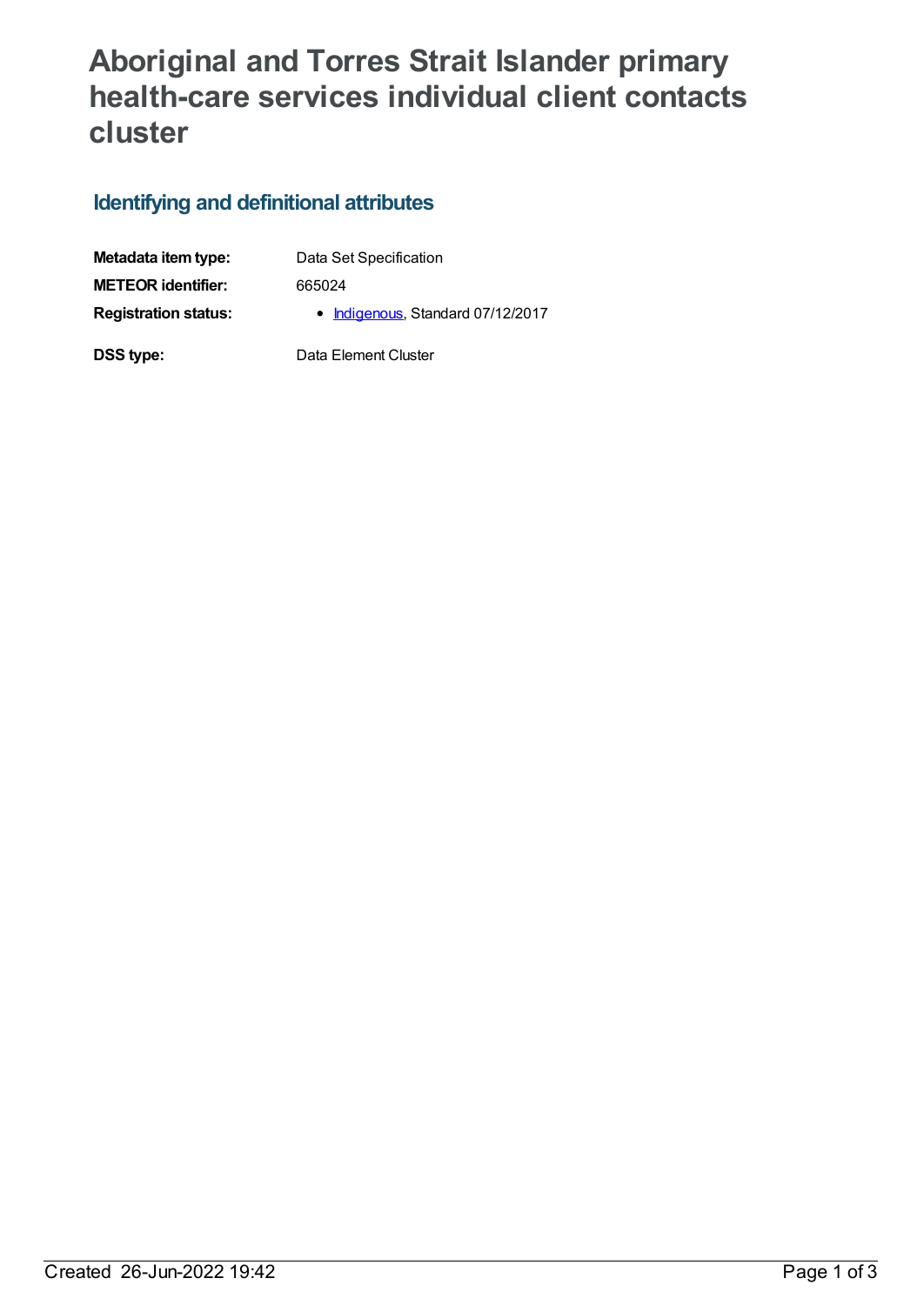# **Aboriginal and Torres Strait Islander primary health-care services individual client contacts cluster**

## **Identifying and definitional attributes**

| Metadata item type:         | Data Set Specification            |
|-----------------------------|-----------------------------------|
| <b>METEOR identifier:</b>   | 665024                            |
| <b>Registration status:</b> | • Indigenous, Standard 07/12/2017 |
| DSS type:                   | Data Element Cluster              |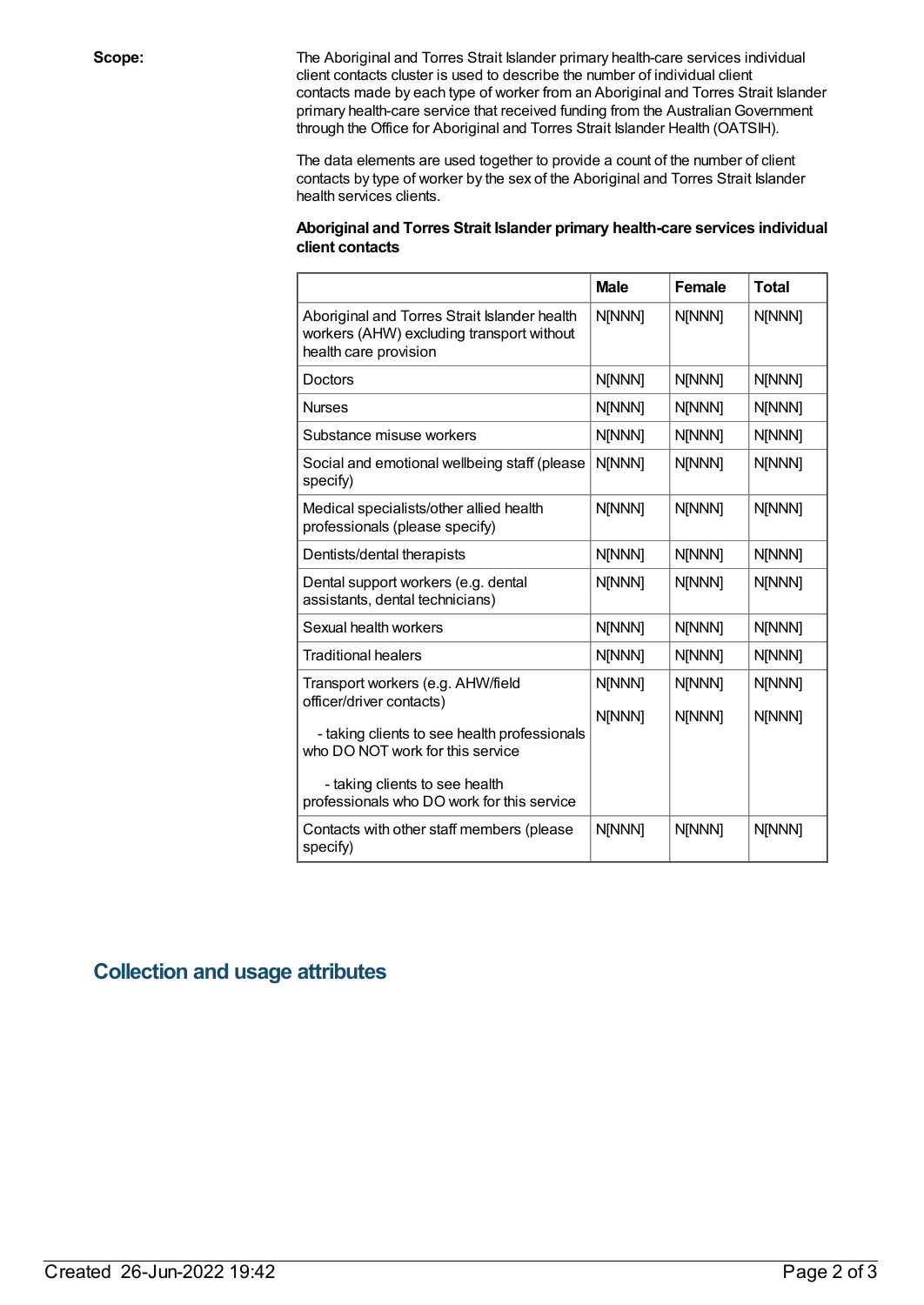**Scope:** The Aboriginal and Torres Strait Islander primary health-care services individual client contacts cluster is used to describe the number of individual client contacts made by each type of worker from an Aboriginal and Torres Strait Islander primary health-care service that received funding from the Australian Government through the Office for Aboriginal and Torres Strait Islander Health (OATSIH).

> The data elements are used together to provide a count of the number of client contacts by type of worker by the sex of the Aboriginal and Torres Strait Islander health services clients.

#### **Aboriginal and Torres Strait Islander primary health-care services individual client contacts**

|                                                                                                                    | <b>Male</b> | Female | <b>Total</b> |
|--------------------------------------------------------------------------------------------------------------------|-------------|--------|--------------|
| Aboriginal and Torres Strait Islander health<br>workers (AHW) excluding transport without<br>health care provision | N[NNN]      | N[NNN] | N[NNN]       |
| Doctors                                                                                                            | N[NNN]      | N[NNN] | N[NNN]       |
| <b>Nurses</b>                                                                                                      | N[NNN]      | N[NNN] | N[NNN]       |
| Substance misuse workers                                                                                           | N[NNN]      | N[NNN] | N[NNN]       |
| Social and emotional wellbeing staff (please<br>specify)                                                           | N[NNN]      | N[NNN] | N[NNN]       |
| Medical specialists/other allied health<br>professionals (please specify)                                          | N[NNN]      | N[NNN] | N[NNN]       |
| Dentists/dental therapists                                                                                         | N[NNN]      | N[NNN] | N[NNN]       |
| Dental support workers (e.g. dental<br>assistants, dental technicians)                                             | N[NNN]      | N[NNN] | N[NNN]       |
| Sexual health workers                                                                                              | N[NNN]      | N[NNN] | N[NNN]       |
| <b>Traditional healers</b>                                                                                         | N[NNN]      | N[NNN] | N[NNN]       |
| Transport workers (e.g. AHW/field                                                                                  | N[NNN]      | N[NNN] | N[NNN]       |
| officer/driver contacts)<br>- taking clients to see health professionals<br>who DO NOT work for this service       | N[NNN]      | N[NNN] | N[NNN]       |
| - taking clients to see health<br>professionals who DO work for this service                                       |             |        |              |
| Contacts with other staff members (please<br>specify)                                                              | N[NNN]      | N[NNN] | N[NNN]       |

### **Collection and usage attributes**